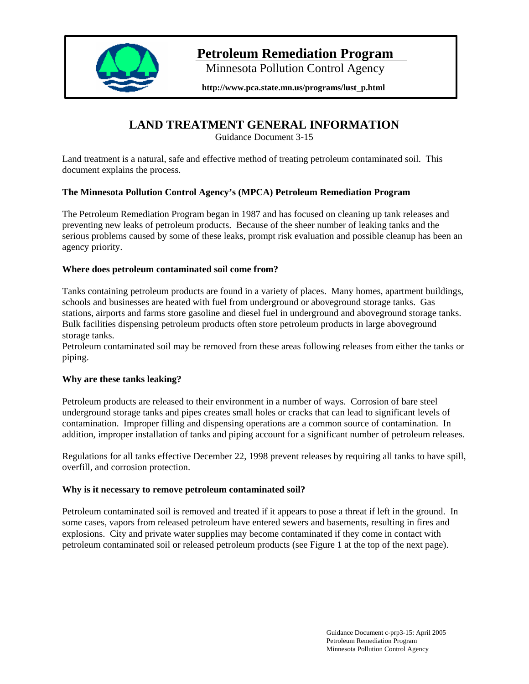

# **Petroleum Remediation Program**

Minnesota Pollution Control Agency

**http://www.pca.state.mn.us/programs/lust\_p.html** 

# **LAND TREATMENT GENERAL INFORMATION**

Guidance Document 3-15

Land treatment is a natural, safe and effective method of treating petroleum contaminated soil. This document explains the process.

# **The Minnesota Pollution Control Agency's (MPCA) Petroleum Remediation Program**

The Petroleum Remediation Program began in 1987 and has focused on cleaning up tank releases and preventing new leaks of petroleum products. Because of the sheer number of leaking tanks and the serious problems caused by some of these leaks, prompt risk evaluation and possible cleanup has been an agency priority.

# **Where does petroleum contaminated soil come from?**

Tanks containing petroleum products are found in a variety of places. Many homes, apartment buildings, schools and businesses are heated with fuel from underground or aboveground storage tanks. Gas stations, airports and farms store gasoline and diesel fuel in underground and aboveground storage tanks. Bulk facilities dispensing petroleum products often store petroleum products in large aboveground storage tanks.

Petroleum contaminated soil may be removed from these areas following releases from either the tanks or piping.

# **Why are these tanks leaking?**

Petroleum products are released to their environment in a number of ways. Corrosion of bare steel underground storage tanks and pipes creates small holes or cracks that can lead to significant levels of contamination. Improper filling and dispensing operations are a common source of contamination. In addition, improper installation of tanks and piping account for a significant number of petroleum releases.

Regulations for all tanks effective December 22, 1998 prevent releases by requiring all tanks to have spill, overfill, and corrosion protection.

## **Why is it necessary to remove petroleum contaminated soil?**

Petroleum contaminated soil is removed and treated if it appears to pose a threat if left in the ground. In some cases, vapors from released petroleum have entered sewers and basements, resulting in fires and explosions. City and private water supplies may become contaminated if they come in contact with petroleum contaminated soil or released petroleum products (see Figure 1 at the top of the next page).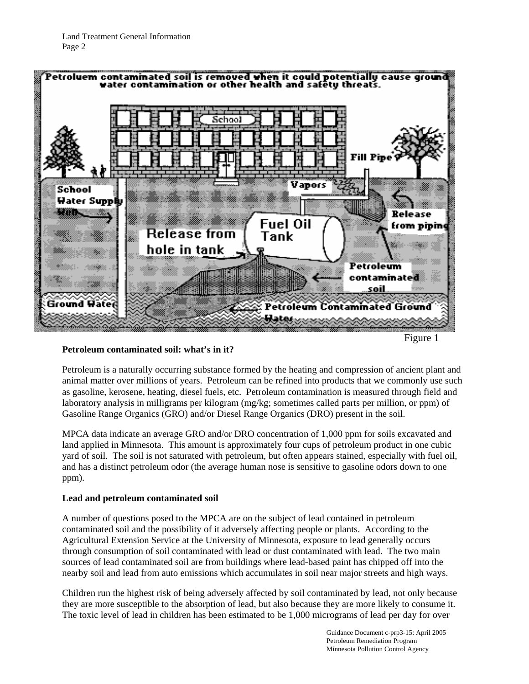

## **Petroleum contaminated soil: what's in it?**

Petroleum is a naturally occurring substance formed by the heating and compression of ancient plant and animal matter over millions of years. Petroleum can be refined into products that we commonly use such as gasoline, kerosene, heating, diesel fuels, etc. Petroleum contamination is measured through field and laboratory analysis in milligrams per kilogram (mg/kg; sometimes called parts per million, or ppm) of Gasoline Range Organics (GRO) and/or Diesel Range Organics (DRO) present in the soil.

MPCA data indicate an average GRO and/or DRO concentration of 1,000 ppm for soils excavated and land applied in Minnesota. This amount is approximately four cups of petroleum product in one cubic yard of soil. The soil is not saturated with petroleum, but often appears stained, especially with fuel oil, and has a distinct petroleum odor (the average human nose is sensitive to gasoline odors down to one ppm).

#### **Lead and petroleum contaminated soil**

A number of questions posed to the MPCA are on the subject of lead contained in petroleum contaminated soil and the possibility of it adversely affecting people or plants. According to the Agricultural Extension Service at the University of Minnesota, exposure to lead generally occurs through consumption of soil contaminated with lead or dust contaminated with lead. The two main sources of lead contaminated soil are from buildings where lead-based paint has chipped off into the nearby soil and lead from auto emissions which accumulates in soil near major streets and high ways.

Children run the highest risk of being adversely affected by soil contaminated by lead, not only because they are more susceptible to the absorption of lead, but also because they are more likely to consume it. The toxic level of lead in children has been estimated to be 1,000 micrograms of lead per day for over

> Guidance Document c-prp3-15: April 2005 Petroleum Remediation Program Minnesota Pollution Control Agency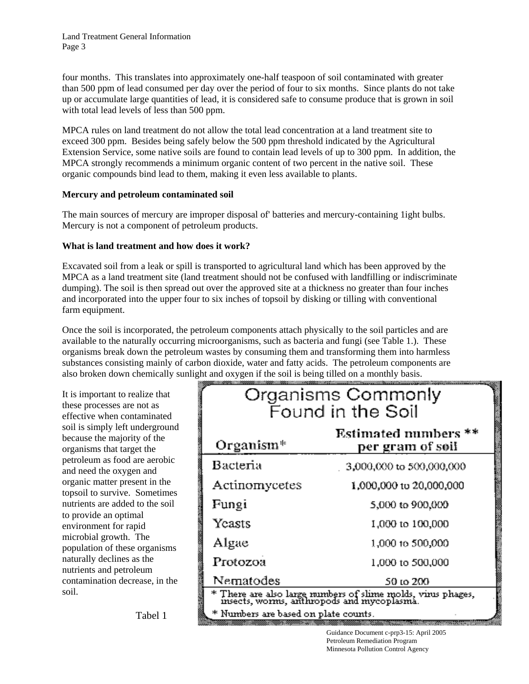four months. This translates into approximately one-half teaspoon of soil contaminated with greater than 500 ppm of lead consumed per day over the period of four to six months. Since plants do not take up or accumulate large quantities of lead, it is considered safe to consume produce that is grown in soil with total lead levels of less than 500 ppm.

MPCA rules on land treatment do not allow the total lead concentration at a land treatment site to exceed 300 ppm. Besides being safely below the 500 ppm threshold indicated by the Agricultural Extension Service, some native soils are found to contain lead levels of up to 300 ppm. In addition, the MPCA strongly recommends a minimum organic content of two percent in the native soil. These organic compounds bind lead to them, making it even less available to plants.

## **Mercury and petroleum contaminated soil**

The main sources of mercury are improper disposal of' batteries and mercury-containing 1ight bulbs. Mercury is not a component of petroleum products.

# **What is land treatment and how does it work?**

Excavated soil from a leak or spill is transported to agricultural land which has been approved by the MPCA as a land treatment site (land treatment should not be confused with landfilling or indiscriminate dumping). The soil is then spread out over the approved site at a thickness no greater than four inches and incorporated into the upper four to six inches of topsoil by disking or tilling with conventional farm equipment.

Once the soil is incorporated, the petroleum components attach physically to the soil particles and are available to the naturally occurring microorganisms, such as bacteria and fungi (see Table 1.). These organisms break down the petroleum wastes by consuming them and transforming them into harmless substances consisting mainly of carbon dioxide, water and fatty acids. The petroleum components are also broken down chemically sunlight and oxygen if the soil is being tilled on a monthly basis.

It is important to realize that these processes are not as effective when contaminated soil is simply left underground because the majority of the organisms that target the petroleum as food are aerobic and need the oxygen and organic matter present in the topsoil to survive. Sometimes nutrients are added to the soil to provide an optimal environment for rapid microbial growth. The population of these organisms naturally declines as the nutrients and petroleum contamination decrease, in the soil.

| Organisms Commonly<br>Found in the Soil                                                                 |                                          |
|---------------------------------------------------------------------------------------------------------|------------------------------------------|
| Organism <sup>*</sup>                                                                                   | Estimated numbers **<br>per gram of søil |
| Bacteria                                                                                                | 3,000,000 to 500,000,000                 |
| Actinomycetes                                                                                           | 1,000,000 to 20,000,000                  |
| Fungi                                                                                                   | 5,000 to 900,000                         |
| Yeasts                                                                                                  | 1,000 to 100,000                         |
| Algae                                                                                                   | 1,000 to 500,000                         |
| Protozoa                                                                                                | 1,000 to 500,000                         |
| Nematodes                                                                                               | 50 to 200                                |
| * There are also large numbers of slime molds, virus phages, insects, worms, anthropods and mycoplasma. |                                          |
| * Numbers are based on plate counts.                                                                    |                                          |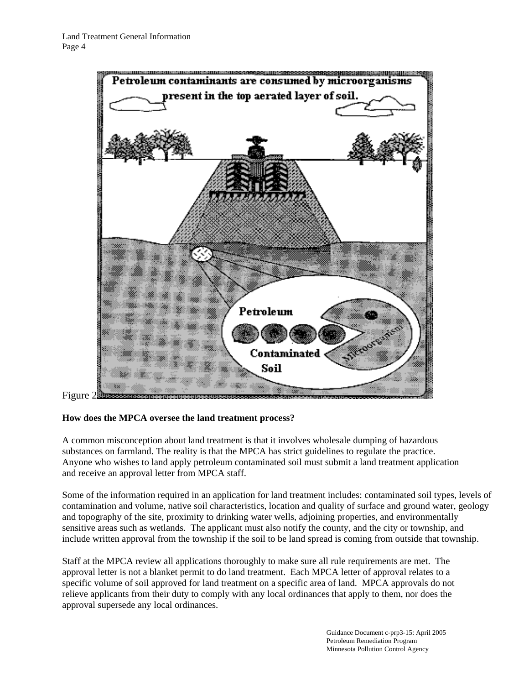

## **How does the MPCA oversee the land treatment process?**

A common misconception about land treatment is that it involves wholesale dumping of hazardous substances on farmland. The reality is that the MPCA has strict guidelines to regulate the practice. Anyone who wishes to land apply petroleum contaminated soil must submit a land treatment application and receive an approval letter from MPCA staff.

Some of the information required in an application for land treatment includes: contaminated soil types, levels of contamination and volume, native soil characteristics, location and quality of surface and ground water, geology and topography of the site, proximity to drinking water wells, adjoining properties, and environmentally sensitive areas such as wetlands. The applicant must also notify the county, and the city or township, and include written approval from the township if the soil to be land spread is coming from outside that township.

Staff at the MPCA review all applications thoroughly to make sure all rule requirements are met. The approval letter is not a blanket permit to do land treatment. Each MPCA letter of approval relates to a specific volume of soil approved for land treatment on a specific area of land. MPCA approvals do not relieve applicants from their duty to comply with any local ordinances that apply to them, nor does the approval supersede any local ordinances.